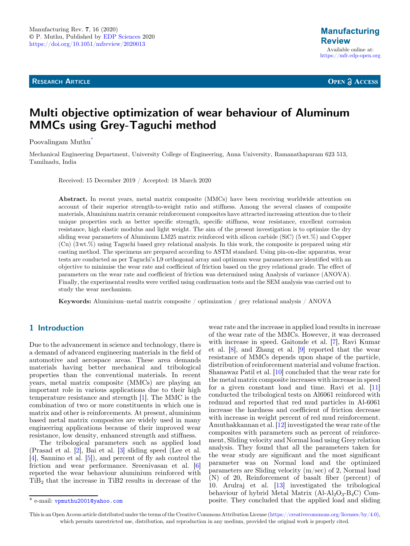**RESEARCH ARTICLE** 

**OPEN A ACCESS** 

# Multi objective optimization of wear behaviour of Aluminum MMCs using Grey-Taguchi method

Poovalingam Muthu<sup>\*</sup>

Mechanical Engineering Department, University College of Engineering, Anna University, Ramanathapuram 623 513, Tamilnadu, India

Received: 15 December 2019 / Accepted: 18 March 2020

Abstract. In recent years, metal matrix composite (MMCs) have been receiving worldwide attention on account of their superior strength-to-weight ratio and stiffness. Among the several classes of composite materials, Aluminium matrix ceramic reinforcement composites have attracted increasing attention due to their unique properties such as better specific strength, specific stiffness, wear resistance, excellent corrosion resistance, high elastic modulus and light weight. The aim of the present investigation is to optimize the dry sliding wear parameters of Aluminum LM25 matrix reinforced with silicon carbide (SiC) (5 wt.%) and Copper (Cu) (3 wt.%) using Taguchi based grey relational analysis. In this work, the composite is prepared using stir casting method. The specimens are prepared according to ASTM standard. Using pin-on-disc apparatus, wear tests are conducted as per Taguchi's L9 orthogonal array and optimum wear parameters are identified with an objective to minimise the wear rate and coefficient of friction based on the grey relational grade. The effect of parameters on the wear rate and coefficient of friction was determined using Analysis of variance (ANOVA). Finally, the experimental results were verified using confirmation tests and the SEM analysis was carried out to study the wear mechanism.

Keywords: Aluminium–metal matrix composite / optimization / grey relational analysis / ANOVA

# 1 Introduction

Due to the advancement in science and technology, there is a demand of advanced engineering materials in the field of automotive and aerospace areas. These area demands materials having better mechanical and tribological properties than the conventional materials. In recent years, metal matrix composite (MMCs) are playing an important role in various applications due to their high temperature resistance and strength [[1\]](#page-6-0). The MMC is the combination of two or more constituents in which one is matrix and other is reinforcements. At present, aluminium based metal matrix composites are widely used in many engineering applications because of their improved wear resistance, low density, enhanced strength and stiffness.

The tribological parameters such as applied load (Prasad et al. [\[2](#page-6-0)], Bai et al. [[3\]](#page-6-0) sliding speed (Lee et al. [\[4](#page-6-0)], Sannino et al. [[5\]](#page-6-0)), and percent of fly ash control the friction and wear performance. Sreenivasan et al. [\[6](#page-6-0)] reported the wear behaviour aluminium reinforced with TiB2 that the increase in TiB2 results in decrease of the

wear rate and the increase in applied load results in increase of the wear rate of the MMCs. However, it was decreased with increase in speed. Gaitonde et al. [\[7](#page-6-0)], Ravi Kumar et al. [\[8\]](#page-6-0), and Zhang et al. [[9\]](#page-6-0) reported that the wear resistance of MMCs depends upon shape of the particle, distribution of reinforcement material and volume fraction. Shanawaz Patil et al. [[10\]](#page-6-0) concluded that the wear rate for the metal matrix composite increases with increase in speed for a given constant load and time. Ravi et al. [\[11\]](#page-6-0) conducted the tribological tests on Al6061 reinforced with redmud and reported that red mud particles in Al-6061 increase the hardness and coefficient of friction decrease with increase in weight percent of red mud reinforcement. Amuthakkannan et al. [\[12](#page-6-0)] investigated the wear rate of the composites with parameters such as percent of reinforcement, Sliding velocity and Normal load using Grey relation analysis. They found that all the parameters taken for the wear study are significant and the most significant parameter was on Normal load and the optimized parameters are Sliding velocity (m/sec) of 2, Normal load (N) of 20, Reinforcement of basalt fiber (percent) of 10. Arulraj et al. [\[13](#page-6-0)] investigated the tribological behaviour of hybrid Metal Matrix  $(AI-AI_2O_3-B_4C)$  Com-\* e-mail: [vpmuthu2001@yahoo.com](mailto:vpmuthu2001@yahoo.com) posite. They concluded that the applied load and sliding

This is an Open Access article distributed under the terms of the Creative Commons Attribution License [\(https://creativecommons.org/licenses/by/4.0\)](https://creativecommons.org/licenses/by/4.0), which permits unrestricted use, distribution, and reproduction in any medium, provided the original work is properly cited.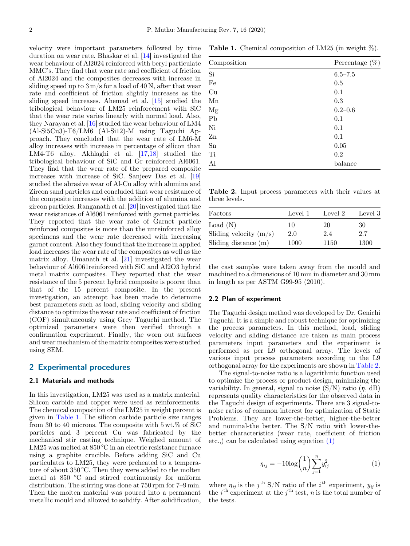velocity were important parameters followed by time duration on wear rate. Bhaskar et al. [\[14](#page-6-0)] investigated the wear behaviour of Al2024 reinforced with beryl particulate MMC's. They find that wear rate and coefficient of friction of Al2024 and the composites decreases with increase in sliding speed up to  $3 \text{ m/s}$  for a load of 40 N, after that wear rate and coefficient of friction slightly increases as the sliding speed increases. Ahemad et al. [[15\]](#page-6-0) studied the tribological behaviour of LM25 reinforcement with SiC that the wear rate varies linearly with normal load. Also, they Narayan et al. [\[16\]](#page-6-0) studied the wear behaviour of LM4 (Al-Si5Cu3)-T6/LM6 (Al-Si12)-M using Taguchi Approach. They concluded that the wear rate of LM6-M alloy increases with increase in percentage of silicon than LM4-T6 alloy. Akhlaghi et al. [\[17,18](#page-6-0)] studied the tribological behaviour of SiC and Gr reinforced Al6061. They find that the wear rate of the prepared composite increases with increase of SiC. Sanjeev Das et al. [\[19](#page-7-0)] studied the abrasive wear of Al-Cu alloy with alumina and Zircon sand particles and concluded that wear resistance of the composite increases with the addition of alumina and zircon particles. Ranganath et al. [\[20](#page-7-0)] investigated that the wear resistances of Al6061 reinforced with garnet particles. They reported that the wear rate of Garnet particle reinforced composites is more than the unreinforced alloy specimens and the wear rate decreased with increasing garnet content. Also they found that the increase in applied load increases the wear rate of the composites as well as the matrix alloy. Umanath et al. [\[21](#page-7-0)] investigated the wear behaviour of Al6061reinforced with SiC and Al2O3 hybrid metal matrix composites. They reported that the wear resistance of the 5 percent hybrid composite is poorer than that of the 15 percent composite. In the present investigation, an attempt has been made to determine best parameters such as load, sliding velocity and sliding distance to optimize the wear rate and coefficient of friction (COF) simultaneously using Grey Taguchi method. The optimized parameters were then verified through a confirmation experiment. Finally, the worn out surfaces and wear mechanism of the matrix composites were studied using SEM.

## 2 Experimental procedures

### 2.1 Materials and methods

In this investigation, LM25 was used as a matrix material. Silicon carbide and copper were used as reinforcements. The chemical composition of the LM25 in weight percent is given in Table 1. The silicon carbide particle size ranges from 30 to 40 microns. The composite with 5 wt.% of SiC particles and 3 percent Cu was fabricated by the mechanical stir casting technique. Weighed amount of LM25 was melted at  $850^{\circ}$ C in an electric resistance furnace using a graphite crucible. Before adding SiC and Cu particulates to LM25, they were preheated to a temperature of about 350 °C. Then they were added to the molten metal at 850 °C and stirred continuously for uniform distribution. The stirring was done at 750 rpm for 7–9 min. Then the molten material was poured into a permanent metallic mould and allowed to solidify. After solidification,

| Composition | Percentage $(\%)$ |  |  |
|-------------|-------------------|--|--|
| Si          | $6.5 - 7.5$       |  |  |
| Fe          | 0.5               |  |  |
| Cu          | 0.1               |  |  |
| Mn          | 0.3               |  |  |
| Mg          | $0.2 - 0.6$       |  |  |
| Pb          | 0.1               |  |  |
| Ni          | 0.1               |  |  |
| $\rm Zn$    | 0.1               |  |  |
| Sn          | 0.05              |  |  |
| Ti          | 0.2               |  |  |
| Al          | balance           |  |  |

**Table 1.** Chemical composition of LM25 (in weight  $\%$ ).

Table 2. Input process parameters with their values at three levels.

| Factors                  | Level 1 | Level 2 | Level 3 |
|--------------------------|---------|---------|---------|
| Load(N)                  | 10      | 20      | 30      |
| Sliding velocity $(m/s)$ | 2.0     | 2.4     | 2.7     |
| Sliding distance $(m)$   | 1000    | 1150    | 1300    |

the cast samples were taken away from the mould and machined to a dimensions of 10 mm in diameter and 30 mm in length as per ASTM G99-95 (2010).

## 2.2 Plan of experiment

The Taguchi design method was developed by Dr. Genichi Taguchi. It is a simple and robust technique for optimizing the process parameters. In this method, load, sliding velocity and sliding distance are taken as main process parameters input parameters and the experiment is performed as per L9 orthogonal array. The levels of various input process parameters according to the L9 orthogonal array for the experiments are shown in Table 2.

The signal-to-noise ratio is a logarithmic function used to optimize the process or product design, minimizing the variability. In general, signal to noise  $(S/N)$  ratio  $(\eta, dB)$ represents quality characteristics for the observed data in the Taguchi design of experiments. There are 3 signal-tonoise ratios of common interest for optimization of Static Problems. They are lower-the-better, higher-the-better and nominal-the better. The S/N ratio with lower-thebetter characteristics (wear rate, coefficient of friction etc.,) can be calculated using equation (1)

$$
\eta_{ij} = -10\log\left(\frac{1}{n}\right)\sum_{j=1}^{n} y_{ij}^2
$$
\n(1)

where  $\eta_{ij}$  is the j<sup>th</sup> S/N ratio of the i<sup>th</sup> experiment,  $y_{ij}$  is the i<sup>th</sup> experiment at the j<sup>th</sup> test, *n* is the total number of the tests.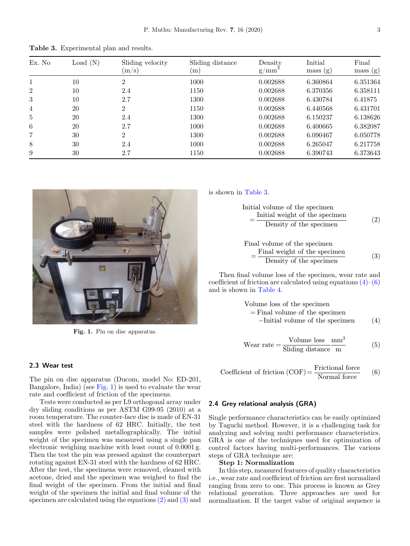| Ex. No         | Load(N) | Sliding velocity<br>(m/s) | Sliding distance<br>(m) | Density<br>$g/mm^3$ | Initial<br>mass(g) | Final<br>mass(g) |
|----------------|---------|---------------------------|-------------------------|---------------------|--------------------|------------------|
| 1              | 10      | $\overline{2}$            | 1000                    | 0.002688            | 6.360864           | 6.351364         |
| $\overline{2}$ | 10      | 2.4                       | 1150                    | 0.002688            | 6.370356           | 6.358111         |
| 3              | 10      | 2.7                       | 1300                    | 0.002688            | 6.430784           | 6.41875          |
| 4              | 20      | $\overline{2}$            | 1150                    | 0.002688            | 6.440568           | 6.431701         |
| 5              | 20      | 2.4                       | 1300                    | 0.002688            | 6.150237           | 6.138626         |
| 6              | 20      | 2.7                       | 1000                    | 0.002688            | 6.400665           | 6.382087         |
| 7              | 30      | $\overline{2}$            | 1300                    | 0.002688            | 6.090467           | 6.050778         |
| 8              | 30      | 2.4                       | 1000                    | 0.002688            | 6.265047           | 6.217758         |
| 9              | 30      | 2.7                       | 1150                    | 0.002688            | 6.390743           | 6.373643         |

<span id="page-2-0"></span>Table 3. Experimental plan and results.



Fig. 1. Pin on disc apparatus.

#### 2.3 Wear test

The pin on disc apparatus (Ducom, model No: ED-201, Bangalore, India) (see Fig. 1) is used to evaluate the wear rate and coefficient of friction of the specimens.

Tests were conducted as per L9 orthogonal array under dry sliding conditions as per ASTM G99-95 (2010) at a room temperature. The counter-face disc is made of EN-31 steel with the hardness of 62 HRC. Initially, the test samples were polished metallographically. The initial weight of the specimen was measured using a single pan electronic weighing machine with least count of 0.0001 g. Then the test the pin was pressed against the counterpart rotating against EN-31 steel with the hardness of 62 HRC. After the test, the specimens were removed, cleaned with acetone, dried and the specimen was weighed to find the final weight of the specimen. From the initial and final weight of the specimen the initial and final volume of the specimen are calculated using the equations  $(2)$  and  $(3)$  and is shown in Table 3.

Initial volume of the specimen  
\n
$$
= \frac{\text{Initial weight of the specimen}}{\text{Density of the specimen}} \tag{2}
$$

Final volume of the specimen

\n
$$
= \frac{\text{Final weight of the specimen}}{\text{Density of the specimen}} \tag{3}
$$

Then final volume loss of the specimen, wear rate and coefficient of friction are calculated using equations  $(4)$ – $(6)$ and is shown in [Table 4.](#page-3-0)

> Volume loss of the specimen  $=$  Final volume of the specimen  $-I$ nitial volume of the specimen  $(4)$

$$
Wear rate = \frac{Volume \text{ loss}}{Sliding \text{ distance}} \frac{\text{mm}^3}{\text{m}} \tag{5}
$$

$$
Coefficient of friction (COF) = \frac{Frictional force}{Normal force}
$$
 (6)

#### 2.4 Grey relational analysis (GRA)

Single performance characteristics can be easily optimized by Taguchi method. However, it is a challenging task for analyzing and solving multi performance characteristics. GRA is one of the techniques used for optimization of control factors having multi-performances. The various steps of GRA technique are:

#### Step 1: Normalization

In this step, measured features of quality characteristics i.e., wear rate and coefficient of friction are first normalized ranging from zero to one. This process is known as Grey relational generation. Three approaches are used for normalization. If the target value of original sequence is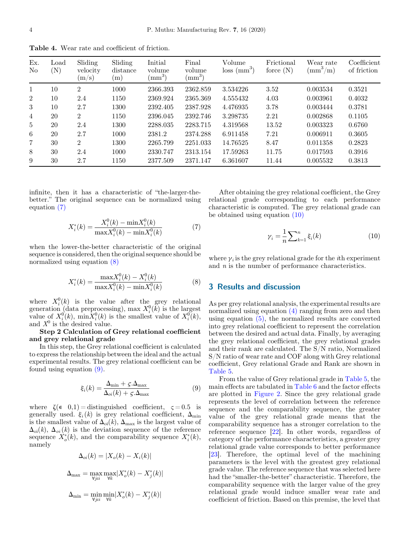| Ex.<br>No      | Load<br>$(\overline{\rm N})$ | Sliding<br>velocity<br>(m/s) | Sliding<br>distance<br>(m) | Initial<br>volume<br>$\rm (mm^3)$ | Final<br>volume<br>$\rm (mm^3)$ | Volume<br>$loss$ (mm <sup>3</sup> ) | Frictional<br>force $(N)$ | Wear rate<br>$\rm (mm^3/m)$ | Coefficient<br>of friction |
|----------------|------------------------------|------------------------------|----------------------------|-----------------------------------|---------------------------------|-------------------------------------|---------------------------|-----------------------------|----------------------------|
| 1              | 10                           | 2                            | 1000                       | 2366.393                          | 2362.859                        | 3.534226                            | 3.52                      | 0.003534                    | 0.3521                     |
| $\overline{2}$ | 10                           | 2.4                          | 1150                       | 2369.924                          | 2365.369                        | 4.555432                            | 4.03                      | 0.003961                    | 0.4032                     |
| 3              | 10                           | 2.7                          | 1300                       | 2392.405                          | 2387.928                        | 4.476935                            | 3.78                      | 0.003444                    | 0.3781                     |
| 4              | 20                           | 2                            | 1150                       | 2396.045                          | 2392.746                        | 3.298735                            | 2.21                      | 0.002868                    | 0.1105                     |
| 5              | 20                           | 2.4                          | 1300                       | 2288.035                          | 2283.715                        | 4.319568                            | 13.52                     | 0.003323                    | 0.6760                     |
| 6              | 20                           | 2.7                          | 1000                       | 2381.2                            | 2374.288                        | 6.911458                            | 7.21                      | 0.006911                    | 0.3605                     |
| 7              | 30                           | $\overline{2}$               | 1300                       | 2265.799                          | 2251.033                        | 14.76525                            | 8.47                      | 0.011358                    | 0.2823                     |
| 8              | 30                           | 2.4                          | 1000                       | 2330.747                          | 2313.154                        | 17.59263                            | 11.75                     | 0.017593                    | 0.3916                     |
| 9              | 30                           | 2.7                          | 1150                       | 2377.509                          | 2371.147                        | 6.361607                            | 11.44                     | 0.005532                    | 0.3813                     |

<span id="page-3-0"></span>Table 4. Wear rate and coefficient of friction.

infinite, then it has a characteristic of "the-larger-thebetter." The original sequence can be normalized using equation (7)

$$
X_i^*(k) = \frac{X_i^0(k) - \min X_i^0(k)}{\max X_i^0(k) - \min X_i^0(k)}\tag{7}
$$

when the lower-the-better characteristic of the original sequence is considered, then the original sequence should be normalized using equation (8)

$$
X_i^*(k) = \frac{\max X_i^0(k) - X_i^0(k)}{\max X_i^0(k) - \min X_i^0(k)}\tag{8}
$$

where  $X_i^0(k)$  is the value after the grey relational generation (data preprocessing), max  $X_i^0(k)$  is the largest value of  $X_i^0(k)$ , min $X_i^0(k)$  is the smallest value of  $X_i^0(k)$ , and  $X^0$  is the desired value.

Step 2 Calculation of Grey relational coefficient and grey relational grade

In this step, the Grey relational coefficient is calculated to express the relationship between the ideal and the actual experimental results. The grey relational coefficient can be found using equation (9).

$$
\xi_i(k) = \frac{\Delta_{\min} + \varsigma \cdot \Delta_{\max}}{\Delta_{oi}(k) + \varsigma \cdot \Delta_{\max}} \tag{9}
$$

where  $\zeta(\epsilon \ 0,1) = \text{distinguished coefficient}, \ \zeta = 0.5 \text{ is}$ generally used.  $\xi_i(k)$  is grey relational coefficient,  $\Delta_{\min}$ is the smallest value of  $\Delta_{oi}(k)$ ,  $\Delta_{max}$  is the largest value of  $\Delta_{oi}(k)$ ,  $\Delta_{oi}(k)$  is the deviation sequence of the reference sequence  $X_o^*(k)$ , and the comparability sequence  $X_i^*(k)$ , namely

$$
\Delta_{oi}(k) = |X_o(k) - X_i(k)|
$$
  

$$
\Delta_{\text{max}} = \max_{\forall j \neq i} \max_{\forall k} |X_o^*(k) - X_j^*(k)|
$$
  

$$
\Delta_{\text{min}} = \min_{\forall j \neq i} \min_{\forall k} |X_o^*(k) - X_j^*(k)|
$$

After obtaining the grey relational coefficient, the Grey relational grade corresponding to each performance characteristic is computed. The grey relational grade can be obtained using equation (10)

$$
\gamma_i = \frac{1}{n} \sum_{k=1}^n \xi_i(k) \tag{10}
$$

where  $y_i$  is the grey relational grade for the *i*th experiment and n is the number of performance characteristics.

## 3 Results and discussion

As per grey relational analysis, the experimental results are normalized using equation  $(4)$  ranging from zero and then using equation [\(5\)](#page-2-0), the normalized results are converted into grey relational coefficient to represent the correlation between the desired and actual data. Finally, by averaging the grey relational coefficient, the grey relational grades and their rank are calculated. The S/N ratio, Normalized S/N ratio of wear rate and COF along with Grey relational coefficient, Grey relational Grade and Rank are shown in [Table 5](#page-4-0).

From the value of Grey relational grade in [Table 5,](#page-4-0) the main effects are tabulated in [Table 6](#page-4-0) and the factor effects are plotted in [Figure 2](#page-4-0). Since the grey relational grade represents the level of correlation between the reference sequence and the comparability sequence, the greater value of the grey relational grade means that the comparability sequence has a stronger correlation to the reference sequence [\[22](#page-7-0)]. In other words, regardless of category of the performance characteristics, a greater grey relational grade value corresponds to better performance [\[23](#page-7-0)]. Therefore, the optimal level of the machining parameters is the level with the greatest grey relational grade value. The reference sequence that was selected here had the "smaller-the-better" characteristic. Therefore, the comparability sequence with the larger value of the grey relational grade would induce smaller wear rate and coefficient of friction. Based on this premise, the level that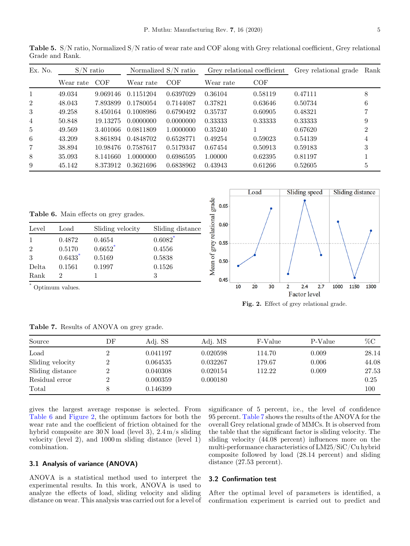<span id="page-4-0"></span>Ex. No. S/N ratio Normalized S/N ratio Grey relational coefficient Grey relational grade Rank Wear rate COF Wear rate COF Wear rate COF 1 49.034 9.069146 0.1151204 0.6397029 0.36104 0.58119 0.47111 8 2 48.043 7.893899 0.1780054 0.7144087 0.37821 0.63646 0.50734 6 3 49.258 8.450164 0.1008986 0.6790492 0.35737 0.60905 0.48321 7 4 50.848 19.13275 0.0000000 0.0000000 0.33333 0.33333 0.33333 9 5 49.569 3.401066 0.0811809 1.0000000 0.35240 1 0.67620 2 6 43.209 8.861894 0.4848702 0.6528771 0.49254 0.59023 0.54139 4 7 38.894 10.98476 0.7587617 0.5179347 0.67454 0.50913 0.59183 3 8 35.093 8.141660 1.0000000 0.6986595 1.00000 0.62395 0.81197 1 9 45.142 8.373912 0.3621696 0.6838962 0.43943 0.61266 0.52605 5

Load Sliding speed Sliding distance Mean of grey relational grade 0.65 0.60 Level Load Sliding velocity Sliding distance 0.55  $0.50$  $0.45$  $10$  $20$  $\overline{30}$  $\overline{2}$  $2.4$  $2.7$ 1000 1150 1300 Factor level

Fig. 2. Effect of grey relational grade.

Source DF Adj. SS Adj. MS F-Value P-Value %C  $\text{Load}$  2 0.041197 0.020598 114.70 0.009 28.14 Sliding velocity 2 0.064535 0.032267 179.67 0.006 44.08 Sliding distance 2 0.040308 0.020154 112.22 0.009 27.53 Residual error  $2 \t 0.000359 \t 0.000180 \t 0.25$ Total 8 0.146399 100

Table 7. Results of ANOVA on grey grade.

Table 6. Main effects on grey grades.

Optimum values.

1 0.4872 0.4654 0.6082\* 2 0.5170  $0.6652^*$  0.4556 3 0.6433\* 0.5169 0.5838 Delta 0.1561 0.1997 0.1526 Rank 2 1  $3$ 

gives the largest average response is selected. From Table 6 and Figure 2, the optimum factors for both the wear rate and the coefficient of friction obtained for the hybrid composite are 30 N load (level 3), 2.4 m/s sliding velocity (level 2), and 1000 m sliding distance (level 1) combination.

# 3.1 Analysis of variance (ANOVA)

ANOVA is a statistical method used to interpret the experimental results. In this work, ANOVA is used to analyze the effects of load, sliding velocity and sliding distance on wear. This analysis was carried out for a level of

# sliding velocity (44.08 percent) influences more on the multi-performance characteristics of LM25/SiC/Cu hybrid composite followed by load (28.14 percent) and sliding distance  $(27.53$  percent).

# 3.2 Confirmation test

After the optimal level of parameters is identified, a confirmation experiment is carried out to predict and

significance of 5 percent, i:e., the level of confidence 95 percent. Table 7 shows the results of the ANOVA for the overall Grey relational grade of MMCs. It is observed from the table that the significant factor is sliding velocity. The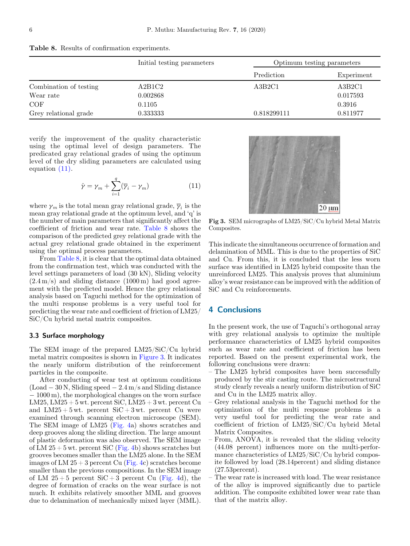|  | Table 8. Results of confirmation experiments. |  |
|--|-----------------------------------------------|--|
|  |                                               |  |

|                        | Initial testing parameters | Optimum testing parameters |            |
|------------------------|----------------------------|----------------------------|------------|
|                        |                            | Prediction                 | Experiment |
| Combination of testing | A2B1C2                     | A3B2C1                     | A3B2C1     |
| Wear rate              | 0.002868                   |                            | 0.017593   |
| <b>COF</b>             | 0.1105                     |                            | 0.3916     |
| Grey relational grade  | 0.333333                   | 0.818299111                | 0.811977   |

verify the improvement of the quality characteristic using the optimal level of design parameters. The predicated gray relational grades of using the optimum level of the dry sliding parameters are calculated using equation (11).

$$
\hat{\gamma} = \gamma_m + \sum_{i=1}^{q} (\overline{\gamma}_i - \gamma_m) \tag{11}
$$

where  $\gamma_m$  is the total mean gray relational grade,  $\overline{\gamma}_i$  is the mean gray relational grade at the optimum level, and 'q' is the number of main parameters that significantly affect the coefficient of friction and wear rate. Table 8 shows the comparison of the predicted grey relational grade with the actual grey relational grade obtained in the experiment using the optimal process parameters.

From Table 8, it is clear that the optimal data obtained from the confirmation test, which was conducted with the level settings parameters of load (30 kN), Sliding velocity  $(2.4 \,\mathrm{m/s})$  and sliding distance  $(1000 \,\mathrm{m})$  had good agreement with the predicted model. Hence the grey relational analysis based on Taguchi method for the optimization of the multi response problems is a very useful tool for predicting the wear rate and coefficient of friction of LM25/ SiC/Cu hybrid metal matrix composites.

## 3.3 Surface morphology

The SEM image of the prepared LM25/SiC/Cu hybrid metal matrix composites is shown in Figure 3. It indicates the nearly uniform distribution of the reinforcement particles in the composite.

After conducting of wear test at optimum conditions  $($ Load  $-$  30 N, Sliding speed  $-$  2.4 m/s and Sliding distance - 1000 m), the morphological changes on the worn surface LM25, LM25 + 5 wt. percent SiC, LM25 + 3 wt. percent Cu and  $LM25 + 5$  wt. percent  $SiC + 3$  wt. percent Cu were examined through scanning electron microscope (SEM). The SEM image of LM25 (Fig. 4a) shows scratches and deep grooves along the sliding direction. The large amount of plastic deformation was also observed. The SEM image of LM  $25 + 5$  wt. percent SiC (Fig. 4b) shows scratches but grooves becomes smaller than the LM25 alone. In the SEM images of LM  $25 + 3$  percent Cu (Fig. 4c) scratches become smaller than the previous compositions. In the SEM image of LM  $25 + 5$  percent  $\text{SiC} + 3$  percent Cu (Fig. 4d), the degree of formation of cracks on the wear surface is not much. It exhibits relatively smoother MML and grooves due to delamination of mechanically mixed layer (MML).



Fig 3. SEM micrographs of LM25/SiC/Cu hybrid Metal Matrix Composites.

This indicate the simultaneous occurrence of formation and delamination of MML. This is due to the properties of SiC and Cu. From this, it is concluded that the less worn surface was identified in LM25 hybrid composite than the unreinforced LM25. This analysis proves that aluminium alloy's wear resistance can be improved with the addition of SiC and Cu reinforcements.

## 4 Conclusions

In the present work, the use of Taguchi's orthogonal array with grey relational analysis to optimize the multiple performance characteristics of LM25 hybrid composites such as wear rate and coefficient of friction has been reported. Based on the present experimental work, the following conclusions were drawn:

- The LM25 hybrid composites have been successfully produced by the stir casting route. The microstructural study clearly reveals a nearly uniform distribution of SiC and Cu in the LM25 matrix alloy.
- Grey relational analysis in the Taguchi method for the optimization of the multi response problems is a very useful tool for predicting the wear rate and coefficient of friction of LM25/SiC/Cu hybrid Metal Matrix Composites.
- From, ANOVA, it is revealed that the sliding velocity (44.08 percent) influences more on the multi-performance characteristics of LM25/SiC/Cu hybrid composite followed by load (28.14percent) and sliding distance (27.53percent).
- The wear rate is increased with load. The wear resistance of the alloy is improved significantly due to particle addition. The composite exhibited lower wear rate than that of the matrix alloy.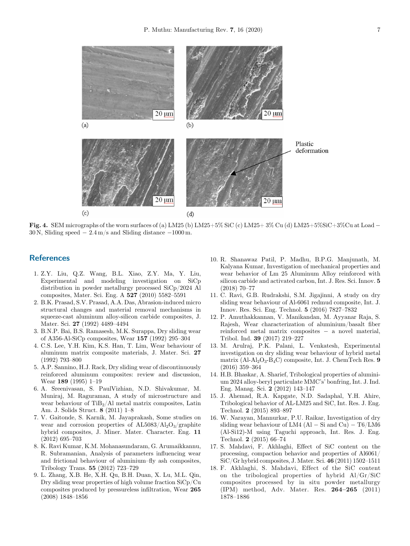<span id="page-6-0"></span>

Fig. 4. SEM micrographs of the worn surfaces of (a) LM25 (b) LM25+5% SiC (c) LM25+  $3\%$  Cu (d) LM25+5%SiC+3%Cu at Load –  $30 \text{ N}$ , Sliding speed  $-2.4 \text{ m/s}$  and Sliding distance  $-1000 \text{ m}$ .

## **References**

- 1. Z.Y. Liu, Q.Z. Wang, B.L. Xiao, Z.Y. Ma, Y. Liu, Experimental and modeling investigation on SiCp distribution in powder metallurgy processed SiCp/2024 Al composites, Mater. Sci. Eng. A 527 (2010) 5582–5591
- 2. B.K. Prasad, S.V. Prasad, A.A. Das, Abrasion-induced micro structural changes and material removal mechanisms in squeeze-cast aluminum alloy-silicon carbide composites, J. Mater. Sci. 27 (1992) 4489–4494
- 3. B.N.P. Bai, B.S. Ramasesh, M.K. Surappa, Dry sliding wear of A356-Al-SiCp composites, Wear 157 (1992) 295–304
- 4. C.S. Lee, Y.H. Kim, K.S. Han, T. Lim, Wear behaviour of aluminum matrix composite materials, J. Mater. Sci. 27 (1992) 793–800
- 5. A.P. Sannino, H.J. Rack, Dry sliding wear of discontinuously reinforced aluminum composites: review and discussion, Wear 189 (1995) 1–19
- 6. A. Sreenivasan, S. PaulVizhian, N.D. Shivakumar, M. Muniraj, M. Raguraman, A study of microstructure and wear behaviour of  $TiB<sub>2</sub>/Al$  metal matrix composites, Latin Am. J. Solids Struct. 8 (2011) 1–8
- 7. V. Gaitonde, S. Karnik, M. Jayaprakash, Some studies on wear and corrosion properties of  $AL5083/Al<sub>2</sub>O<sub>3</sub>/graphite$ hybrid composites, J. Miner. Mater. Character. Eng. 11 (2012) 695–703
- 8. K. Ravi Kumar, K.M. Mohanasundaram, G. Arumaikkannu, R. Subramanian, Analysis of parameters influencing wear and frictional behaviour of aluminium–fly ash composites, Tribology Trans. 55 (2012) 723–729
- 9. L. Zhang, X.B. He, X.H. Qu, B.H. Duan, X. Lu, M.L. Qin, Dry sliding wear properties of high volume fraction SiCp/Cu composites produced by pressureless infiltration, Wear 265 (2008) 1848–1856
- 10. R. Shanawaz Patil, P. Madhu, B.P.G. Manjunath, M. Kalyana Kumar, Investigation of mechanical properties and wear behavior of Lm 25 Aluminum Alloy reinforced with silicon carbide and activated carbon, Int. J. Res. Sci. Innov. 5 (2018) 70–77
- 11. C. Ravi, G.B. Rudrakshi, S.M. Jigajinni, A study on dry sliding wear behaviour of Al-6061 redmud composite, Int. J. Innov. Res. Sci. Eng. Technol. 5 (2016) 7827–7832
- 12. P. Amuthakkannan, V. Manikandan, M. Ayyanar Raja, S. Rajesh, Wear characterization of aluminium/basalt fiber reinforced metal matrix composites – a novel material, Tribol. Ind. 39 (2017) 219–227
- 13. M. Arulraj, P.K. Palani, L. Venkatesh, Experimental investigation on dry sliding wear behaviour of hybrid metal matrix  $(Al-Al<sub>2</sub>O<sub>3</sub>-B<sub>4</sub>C)$  composite, Int. J. ChemTech Res. 9 (2016) 359–364
- 14. H.B. Bhaskar, A. Sharief, Tribological properties of aluminium 2024 alloy-beryl particulate MMC's' bonfring, Int. J. Ind. Eng. Manag. Sci. 2 (2012) 143–147
- 15. J. Ahemad, R.A. Kapgate, N.D. Sadaphal, Y.H. Ahire, Tribological behavior of AL-LM25 and SiC, Int. Res. J. Eng. Technol. 2 (2015) 893–897
- 16. W. Narayan, Mannurkar, P.U. Raikar, Investigation of dry sliding wear behaviour of LM4 (Al  $-$  Si and Cu)  $-$  T6/LM6 (Al-Si12)-M using Taguchi approach, Int. Res. J. Eng. Technol. 2 (2015) 66–74
- 17. S. Mahdavi, F. Akhlaghi, Effect of SiC content on the processing, compaction behavior and properties of Al6061/ SiC/Gr hybrid composites, J. Mater. Sci. 46 (2011) 1502–1511
- 18. F. Akhlaghi, S. Mahdavi, Effect of the SiC content on the tribological properties of hybrid Al/Gr/SiC composites processed by in situ powder metallurgy (IPM) method, Adv. Mater. Res. 264–265 (2011) 1878–1886